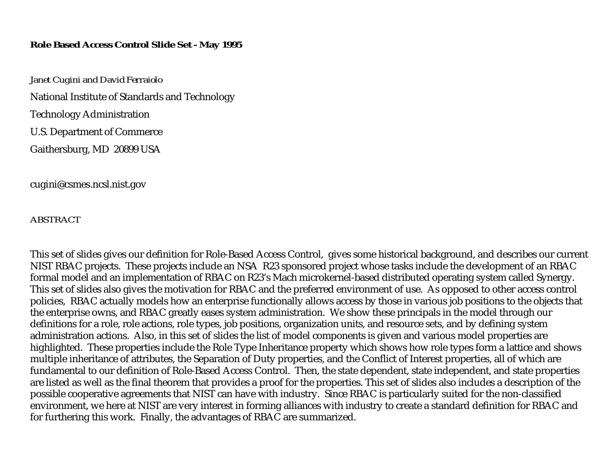#### **Role Based Access Control Slide Set - May 1995**

*Janet Cugini and David Ferraiolo*  National Institute of Standards and Technology Technology Administration U.S. Department of Commerce Gaithersburg, MD 20899 USA

cugini@csmes.ncsl.nist.gov

*ABSTRACT* 

This set of slides gives our definition for Role-Based Access Control, gives some historical background, and describes our current NIST RBAC projects. These projects include an NSA R23 sponsored project whose tasks include the development of an RBAC formal model and an implementation of RBAC on R23's Mach microkernel-based distributed operating system called Synergy. This set of slides also gives the motivation for RBAC and the preferred environment of use. As opposed to other access control policies, RBAC actually models how an enterprise functionally allows access by those in various job positions to the objects that the enterprise owns, and RBAC greatly eases system administration. We show these principals in the model through our definitions for a role, role actions, role types, job positions, organization units, and resource sets, and by defining system administration actions. Also, in this set of slides the list of model components is given and various model properties are highlighted. These properties include the Role Type Inheritance property which shows how role types form a lattice and shows multiple inheritance of attributes, the Separation of Duty properties, and the Conflict of Interest properties, all of which are fundamental to our definition of Role-Based Access Control. Then, the state dependent, state independent, and state properties are listed as well as the final theorem that provides a proof for the properties. This set of slides also includes a description of the possible cooperative agreements that NIST can have with industry. Since RBAC is particularly suited for the non-classified environment, we here at NIST are very interest in forming alliances with industry to create a standard definition for RBAC and for furthering this work. Finally, the advantages of RBAC are summarized.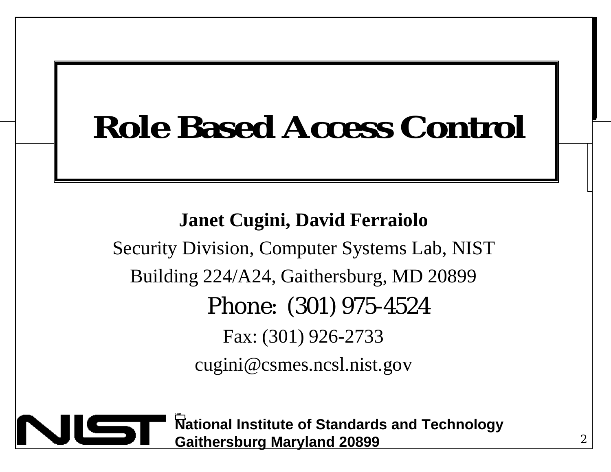#### **Role-Based Access Control Role Based Access Control**

**Janet Cugini, David Ferraiolo** 

Security Division, Computer Systems Lab, NIST Building 224/A24, Gaithersburg, MD 20899 Phone: (301) 975-4524 Fax: (301) 926-2733 cugini@csmes.ncsl.nist.gov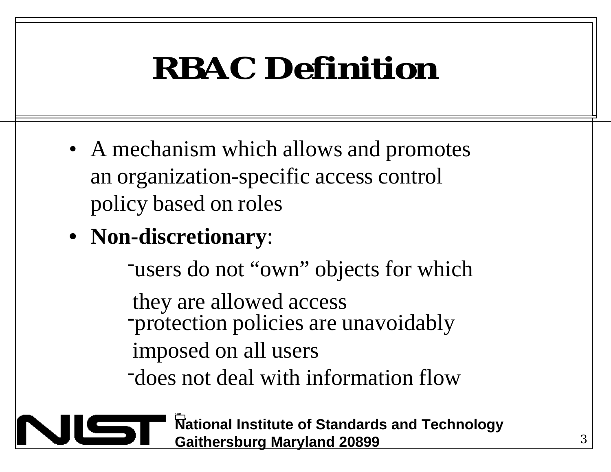### **RBAC Definition**

- A mechanism which allows and promotes an organization-specific access control policy based on roles
- **Non-discretionary**:

-users do not "own" objects for which

 they are allowed access -protection policies are unavoidably imposed on all users

-does not deal with information flow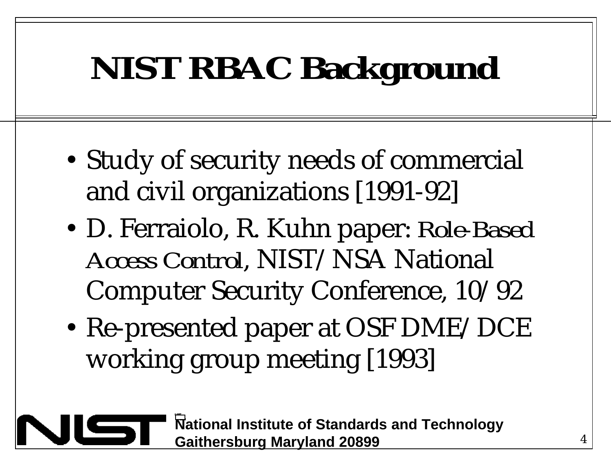# **NIST RBAC Background**

- Study of security needs of commercial and civil organizations [1991-92]
- D. Ferraiolo, R. Kuhn paper: *Role-Based Access Control*, NIST/NSA National Computer Security Conference, 10/92
- Re-presented paper at OSF DME/DCE working group meeting [1993]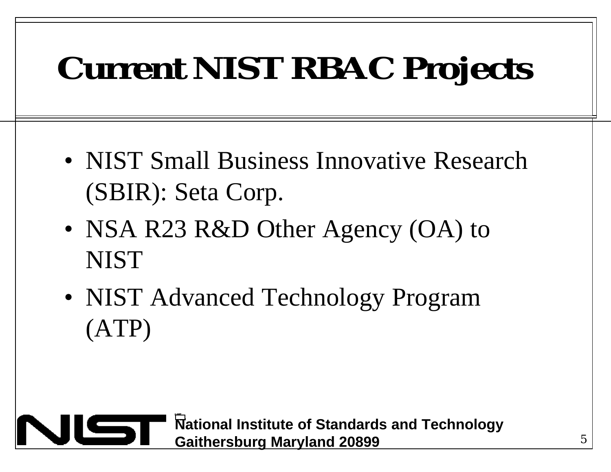# **Current NIST RBAC Projects**

- NIST Small Business Innovative Research (SBIR): Seta Corp.
- NSA R23 R&D Other Agency (OA) to **NIST**
- NIST Advanced Technology Program (ATP)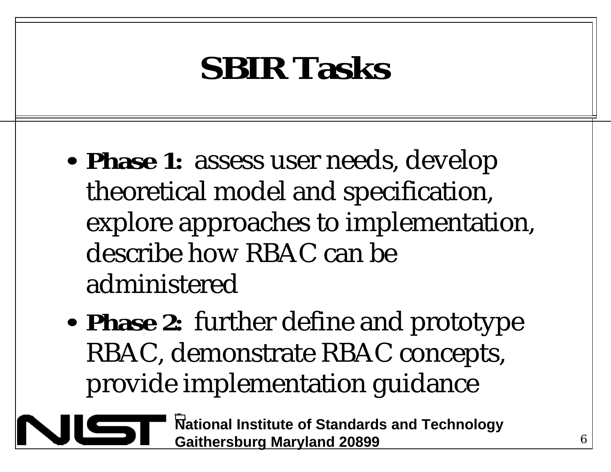#### **SBIR Tasks**

- **Phase 1:** assess user needs, develop theoretical model and specification, explore approaches to implementation, describe how RBAC can be administered
- **Phase 2:** further define and prototype RBAC, demonstrate RBAC concepts, provide implementation guidance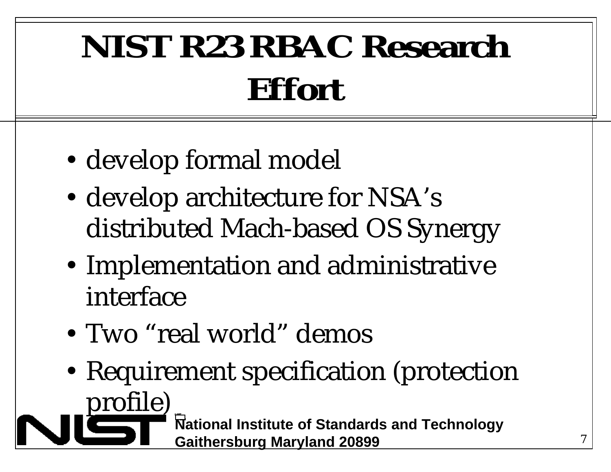# **NIST R23 RBAC Research Effort**

- develop formal model
- develop architecture for NSA's distributed Mach-based OS Synergy
- Implementation and administrative interface
- Two "real world" demos
- Requirement specification (protection **National Institute of Standards and Technology Gaithersburg Maryland 20899**  profile)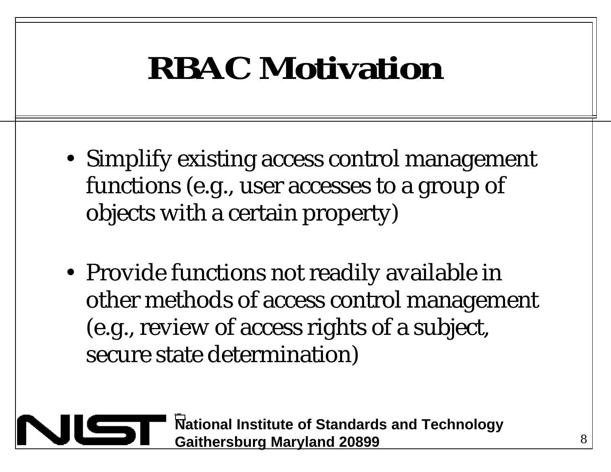#### **RBAC Motivation**

- Simplify existing access control management functions (e.g., user accesses to a group of objects with a certain property)
- Provide functions not readily available in other methods of access control management (e.g., review of access rights of a subject, secure state determination)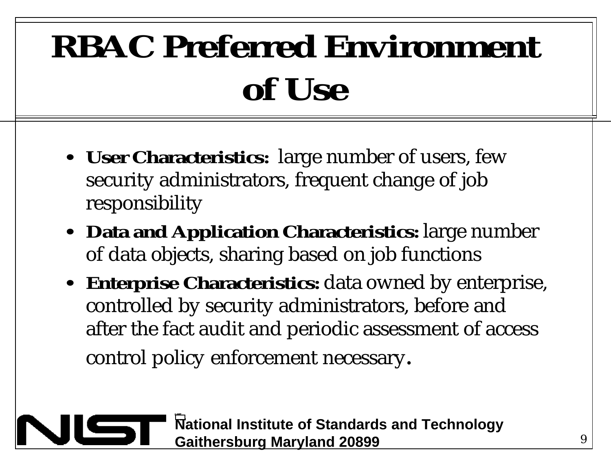# **RBAC Preferred Environment of Use**

- **User Characteristics:** large number of users, few security administrators, frequent change of job responsibility
- **Data and Application Characteristics:** large number of data objects, sharing based on job functions
- **Enterprise Characteristics:** data owned by enterprise, controlled by security administrators, before and after the fact audit and periodic assessment of access control policy enforcement necessary.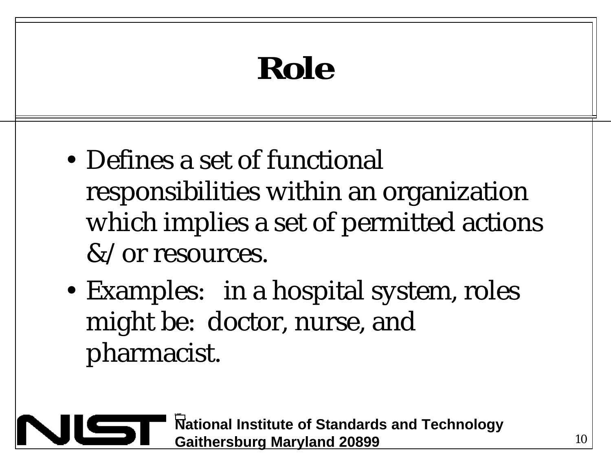# **Role**

- Defines a set of functional responsibilities within an organization which implies a set of permitted actions &/or resources.
- Examples: in a hospital system, roles might be: doctor, nurse, and pharmacist.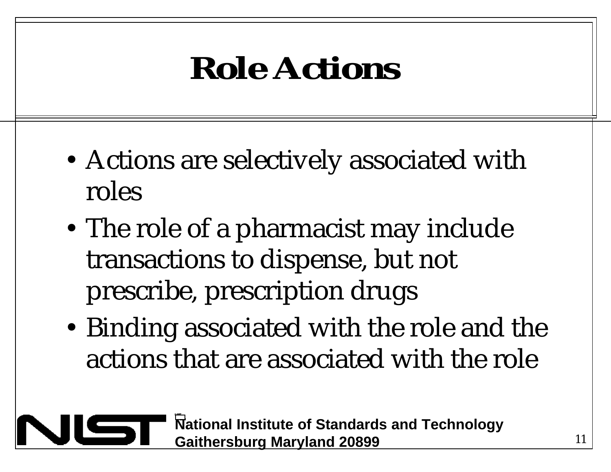#### **Role Actions**

- Actions are selectively associated with roles
- The role of a pharmacist may include transactions to dispense, but not prescribe, prescription drugs
- Binding associated with the role and the actions that are associated with the role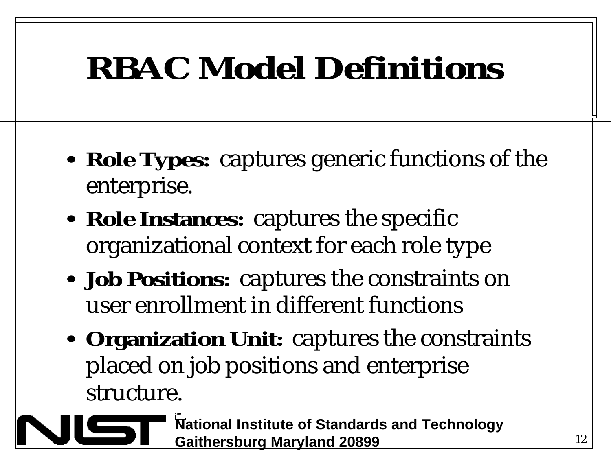#### **RBAC Model Definitions**

- **Role Types:** captures generic functions of the enterprise.
- **Role Instances:** captures the specific organizational context for each role type
- **Job Positions:** captures the constraints on user enrollment in different functions
- Organization Unit: captures the constraints placed on job positions and enterprise structure.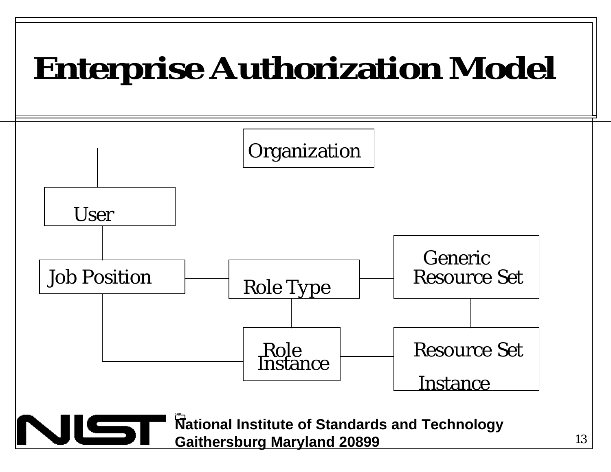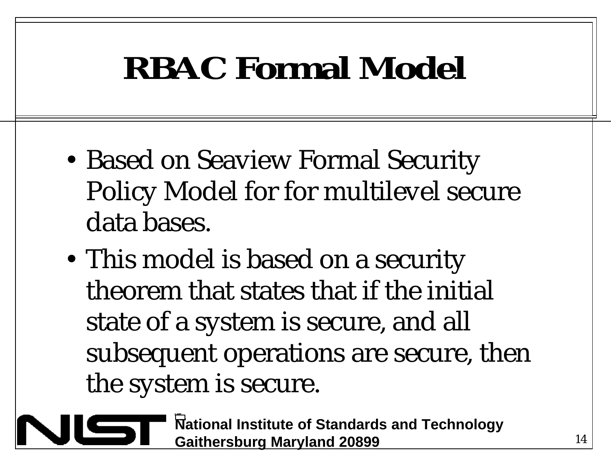#### **RBAC Formal Model**

- Based on Seaview Formal Security Policy Model for for multilevel secure data bases.
- This model is based on a security theorem that states that if the initial state of a system is secure, and all subsequent operations are secure, then the system is secure.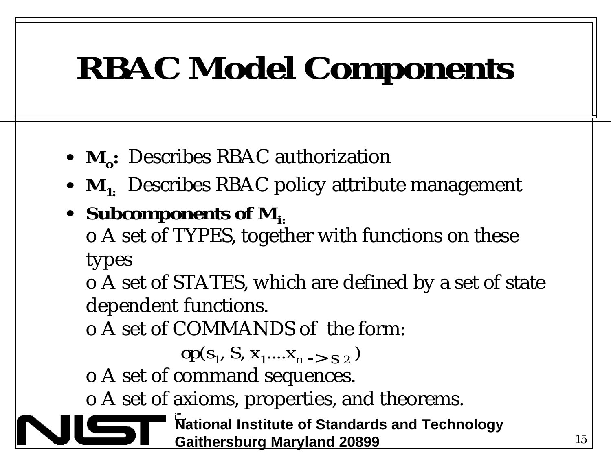# **RBAC Model Components**

- **M<sub>o</sub>**: Describes RBAC authorization
- $M_{1}$ : Describes RBAC policy attribute management
- Subcomponents of M<sub>i</sub>.

o A set of TYPES, together with functions on these types

o A set of STATES, which are defined by a set of state dependent functions.

o A set of COMMANDS of the form:

$$
op(s1, S, x1,...,xn -> s2)
$$

o A set of command sequences.

o A set of axioms, properties, and theorems.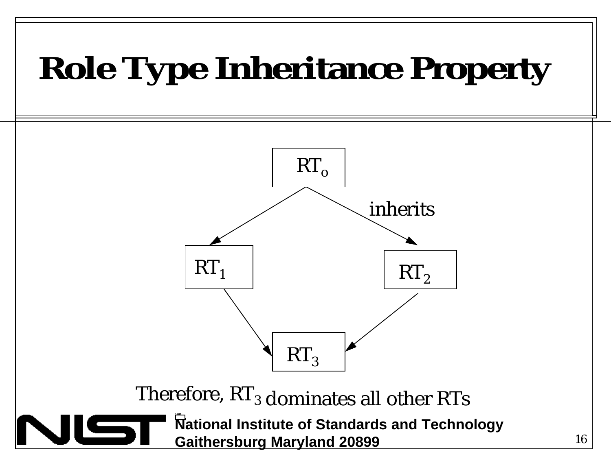# **Role Type Inheritance Property**



Therefore,  $\mathrm{RT}_3$  dominates all other  $\mathrm{RT}_\mathbf{S}$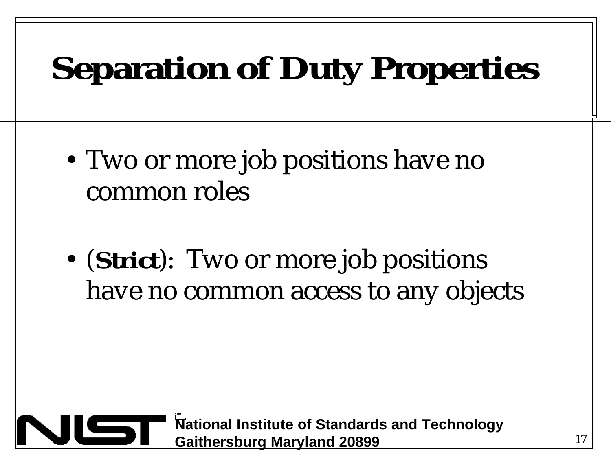# **Separation of Duty Properties**

- Two or more job positions have no common roles
- $\bullet$ (**Strict**): Two or more job positions have no common access to any objects

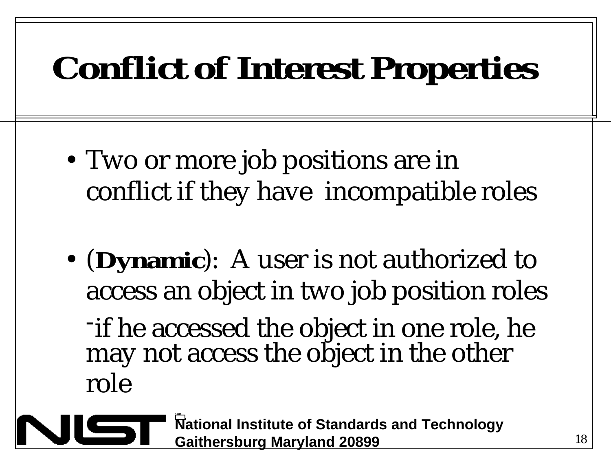### **Conflict of Interest Properties**

- Two or more job positions are in conflict if they have incompatible roles
- $\bullet$ (**Dynamic**): A user is not authorized to access an object in two job position roles

-if he accessed the object in one role, he may not access the object in the other role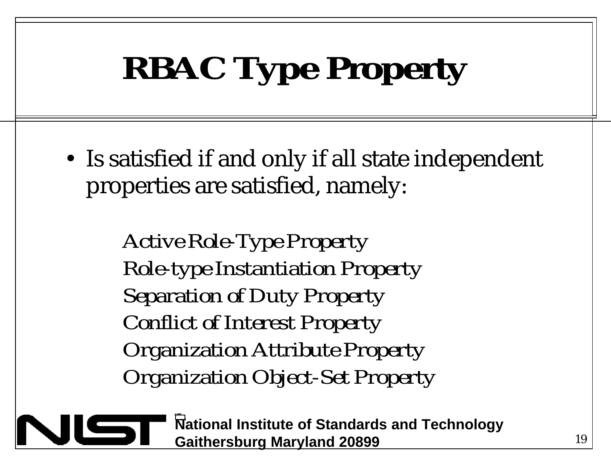# **RBAC Type Property**

• Is satisfied if and only if all state independent properties are satisfied, namely:

> *Active Role-Type Property Role-type Instantiation Property Separation of Duty Property Conflict of Interest Property Organization Attribute Property Organization Object-Set Property*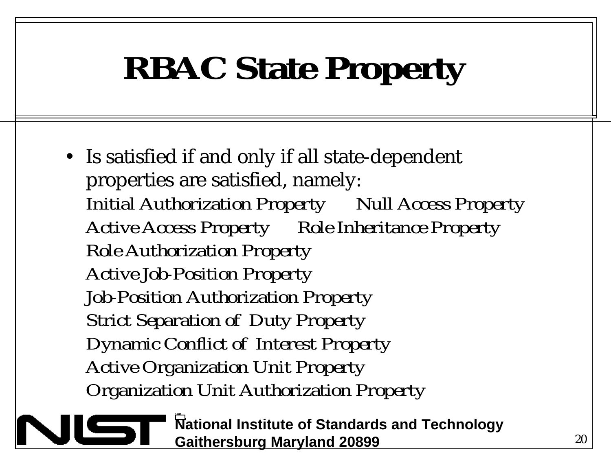# **RBAC State Property**

• Is satisfied if and only if all state-dependent properties are satisfied, namely: *Initial Authorization Property Null Access Property Active Access Property Role Inheritance Property Role Authorization Property Active Job-Position Property Job-Position Authorization Property Strict Separation of Duty Property Dynamic Conflict of Interest Property Active Organization Unit Property Organization Unit Authorization Property*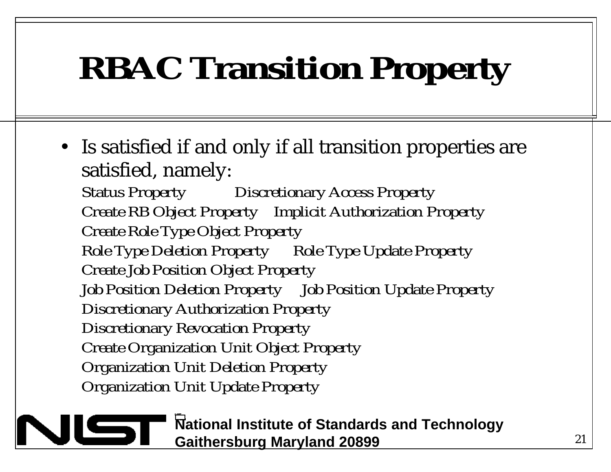# **RBAC Transition Property**

• Is satisfied if and only if all transition properties are satisfied, namely: *Status Property Discretionary Access Property* 

*Create RB Object Property Implicit Authorization Property Create Role Type Object Property Role Type Deletion Property Role Type Update Property* 

*Create Job Position Object Property Job Position Deletion Property Job Position Update Property* 

*Discretionary Authorization Property* 

*Discretionary Revocation Property* 

*Create Organization Unit Object Property* 

*Organization Unit Deletion Property* 

*Organization Unit Update Property*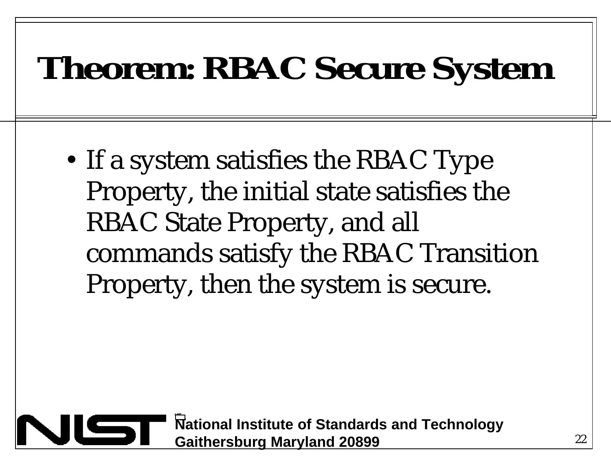#### **Theorem: RBAC Secure System**

• If a system satisfies the RBAC Type Property, the initial state satisfies the RBAC State Property, and all commands satisfy the RBAC Transition Property, then the system is secure.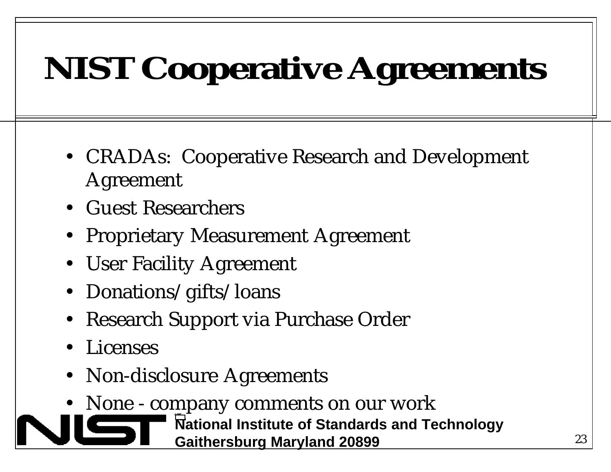# **NIST Cooperative Agreements**

- CRADAs: Cooperative Research and Development Agreement
- • Guest Researchers
- Proprietary Measurement Agreement
- User Facility Agreement
- Donations/gifts/loans
- • Research Support via Purchase Order
- **Licenses**
- Non-disclosure Agreements
- None company comments on our work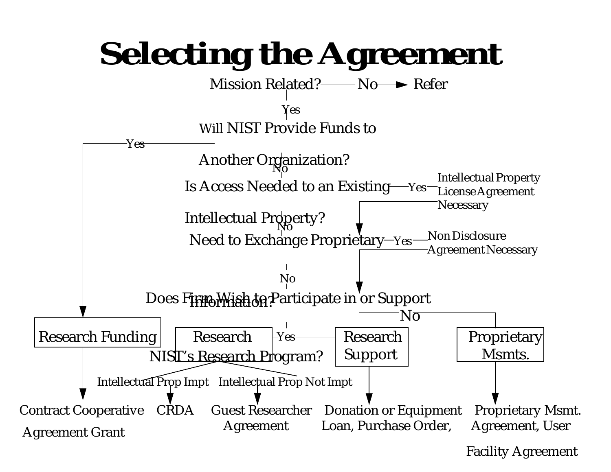